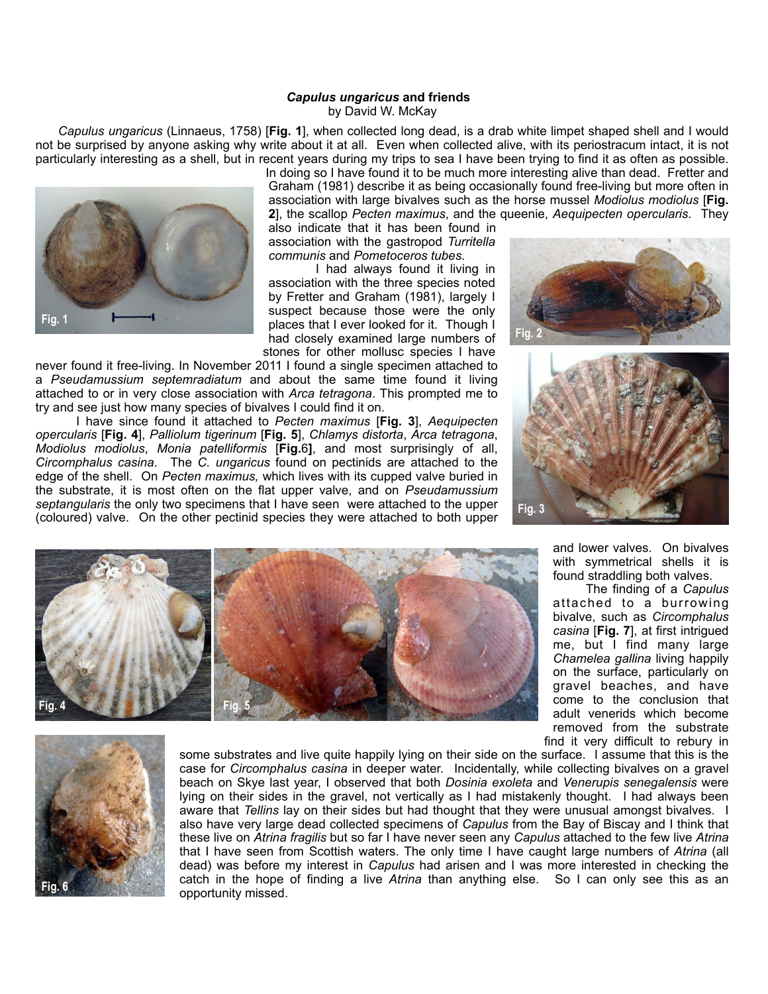## *Capulus ungaricus* **and friends** by David W. McKay

 *Capulus ungaricus* (Linnaeus, 1758) [**Fig. 1**], when collected long dead, is a drab white limpet shaped shell and I would not be surprised by anyone asking why write about it at all. Even when collected alive, with its periostracum intact, it is not particularly interesting as a shell, but in recent years during my trips to sea I have been trying to find it as often as possible.



In doing so I have found it to be much more interesting alive than dead. Fretter and Graham (1981) describe it as being occasionally found free-living but more often in association with large bivalves such as the horse mussel *Modiolus modiolus* [**Fig. 2**], the scallop *Pecten maximus*, and the queenie, *Aequipecten opercularis*. They

also indicate that it has been found in association with the gastropod *Turritella communis* and *Pometoceros tubes*.

 I had always found it living in association with the three species noted by Fretter and Graham (1981), largely I suspect because those were the only places that I ever looked for it. Though I had closely examined large numbers of stones for other mollusc species I have

never found it free-living. In November 2011 I found a single specimen attached to a *Pseudamussium septemradiatum* and about the same time found it living attached to or in very close association with *Arca tetragona*. This prompted me to try and see just how many species of bivalves I could find it on.

 I have since found it attached to *Pecten maximus* [**Fig. 3**], *Aequipecten opercularis* [**Fig. 4**], *Palliolum tigerinum* [**Fig. 5**], *Chlamys distorta*, *Arca tetragona*, *Modiolus modiolus*, *Monia patelliformis* [**Fig.**6**]**, and most surprisingly of all, *Circomphalus casina*. The *C. ungaricus* found on pectinids are attached to the edge of the shell. On *Pecten maximus,* which lives with its cupped valve buried in the substrate, it is most often on the flat upper valve, and on *Pseudamussium septangularis* the only two specimens that I have seen were attached to the upper (coloured) valve. On the other pectinid species they were attached to both upper







and lower valves. On bivalves with symmetrical shells it is found straddling both valves.

 The finding of a *Capulus* attached to a burrowing bivalve, such as *Circomphalus casina* [**Fig. 7**], at first intrigued me, but I find many large *Chamelea gallina* living happily on the surface, particularly on gravel beaches, and have come to the conclusion that adult venerids which become removed from the substrate find it very difficult to rebury in



some substrates and live quite happily lying on their side on the surface. I assume that this is the case for *Circomphalus casina* in deeper water. Incidentally, while collecting bivalves on a gravel beach on Skye last year, I observed that both *Dosinia exoleta* and *Venerupis senegalensis* were lying on their sides in the gravel, not vertically as I had mistakenly thought. I had always been aware that *Tellins* lay on their sides but had thought that they were unusual amongst bivalves. I also have very large dead collected specimens of *Capulus* from the Bay of Biscay and I think that these live on *Atrina fragilis* but so far I have never seen any *Capulus* attached to the few live *Atrina* that I have seen from Scottish waters. The only time I have caught large numbers of *Atrina* (all dead) was before my interest in *Capulus* had arisen and I was more interested in checking the catch in the hope of finding a live *Atrina* than anything else. So I can only see this as an opportunity missed.